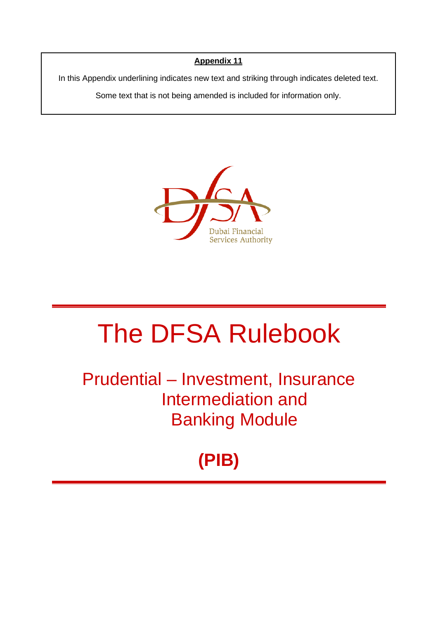# **Appendix 11**

In this Appendix underlining indicates new text and striking through indicates deleted text.

Some text that is not being amended is included for information only.



# The DFSA Rulebook

Prudential – Investment, Insurance Intermediation and Banking Module

**(PIB)**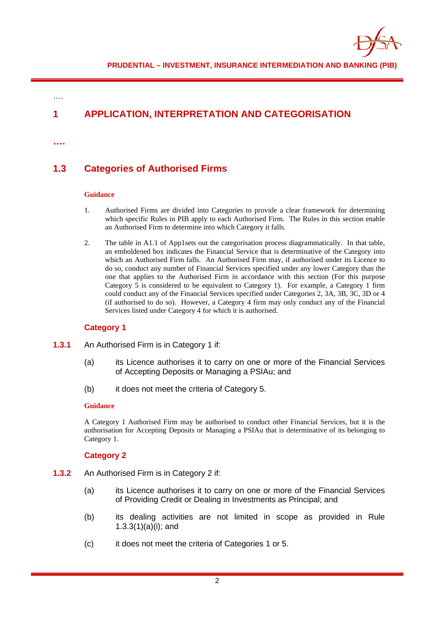

# **1 APPLICATION, INTERPRETATION AND CATEGORISATION**

**….**

….

# **1.3 Categories of Authorised Firms**

#### **Guidance**

- 1. Authorised Firms are divided into Categories to provide a clear framework for determining which specific Rules in PIB apply to each Authorised Firm. The Rules in this section enable an Authorised Firm to determine into which Category it falls.
- 2. The table in A1.1 of App1sets out the categorisation process diagrammatically. In that table, an emboldened box indicates the Financial Service that is determinative of the Category into which an Authorised Firm falls. An Authorised Firm may, if authorised under its Licence to do so, conduct any number of Financial Services specified under any lower Category than the one that applies to the Authorised Firm in accordance with this section (For this purpose Category 5 is considered to be equivalent to Category 1). For example, a Category 1 firm could conduct any of the Financial Services specified under Categories 2, 3A, 3B, 3C, 3D or 4 (if authorised to do so). However, a Category 4 firm may only conduct any of the Financial Services listed under Category 4 for which it is authorised.

## **Category 1**

- **1.3.1** An Authorised Firm is in Category 1 if:
	- (a) its Licence authorises it to carry on one or more of the Financial Services of Accepting Deposits or Managing a PSIAu; and
	- (b) it does not meet the criteria of Category 5.

#### **Guidance**

A Category 1 Authorised Firm may be authorised to conduct other Financial Services, but it is the authorisation for Accepting Deposits or Managing a PSIAu that is determinative of its belonging to Category 1.

#### **Category 2**

- **1.3.2** An Authorised Firm is in Category 2 if:
	- (a) its Licence authorises it to carry on one or more of the Financial Services of Providing Credit or Dealing in Investments as Principal; and
	- (b) its dealing activities are not limited in scope as provided in Rule 1.3.3(1)(a)(i); and
	- (c) it does not meet the criteria of Categories 1 or 5.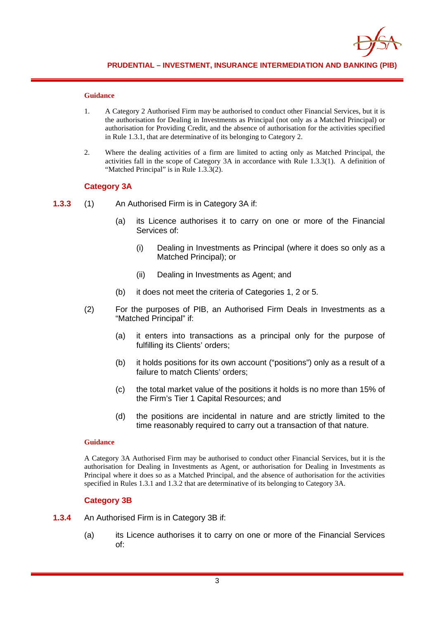

- 1. A Category 2 Authorised Firm may be authorised to conduct other Financial Services, but it is the authorisation for Dealing in Investments as Principal (not only as a Matched Principal) or authorisation for Providing Credit, and the absence of authorisation for the activities specified in Rule 1.3.1, that are determinative of its belonging to Category 2.
- 2. Where the dealing activities of a firm are limited to acting only as Matched Principal, the activities fall in the scope of Category 3A in accordance with Rule 1.3.3(1). A definition of "Matched Principal" is in Rule 1.3.3(2).

### **Category 3A**

- **1.3.3** (1) An Authorised Firm is in Category 3A if:
	- (a) its Licence authorises it to carry on one or more of the Financial Services of:
		- (i) Dealing in Investments as Principal (where it does so only as a Matched Principal); or
		- (ii) Dealing in Investments as Agent; and
	- (b) it does not meet the criteria of Categories 1, 2 or 5.
	- (2) For the purposes of PIB, an Authorised Firm Deals in Investments as a "Matched Principal" if:
		- (a) it enters into transactions as a principal only for the purpose of fulfilling its Clients' orders;
		- (b) it holds positions for its own account ("positions") only as a result of a failure to match Clients' orders;
		- (c) the total market value of the positions it holds is no more than 15% of the Firm's Tier 1 Capital Resources; and
		- (d) the positions are incidental in nature and are strictly limited to the time reasonably required to carry out a transaction of that nature.

#### **Guidance**

A Category 3A Authorised Firm may be authorised to conduct other Financial Services, but it is the authorisation for Dealing in Investments as Agent, or authorisation for Dealing in Investments as Principal where it does so as a Matched Principal, and the absence of authorisation for the activities specified in Rules 1.3.1 and 1.3.2 that are determinative of its belonging to Category 3A.

## **Category 3B**

- **1.3.4** An Authorised Firm is in Category 3B if:
	- (a) its Licence authorises it to carry on one or more of the Financial Services of: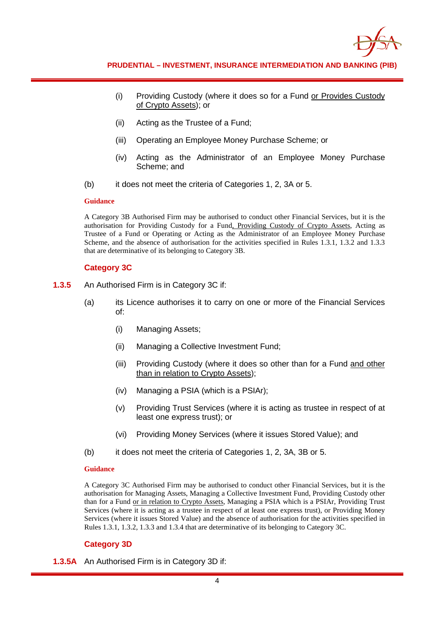

- (i) Providing Custody (where it does so for a Fund or Provides Custody of Crypto Assets); or
- (ii) Acting as the Trustee of a Fund;
- (iii) Operating an Employee Money Purchase Scheme; or
- (iv) Acting as the Administrator of an Employee Money Purchase Scheme; and
- (b) it does not meet the criteria of Categories 1, 2, 3A or 5.

A Category 3B Authorised Firm may be authorised to conduct other Financial Services, but it is the authorisation for Providing Custody for a Fund, Providing Custody of Crypto Assets, Acting as Trustee of a Fund or Operating or Acting as the Administrator of an Employee Money Purchase Scheme, and the absence of authorisation for the activities specified in Rules 1.3.1, 1.3.2 and 1.3.3 that are determinative of its belonging to Category 3B.

#### **Category 3C**

- **1.3.5** An Authorised Firm is in Category 3C if:
	- (a) its Licence authorises it to carry on one or more of the Financial Services of:
		- (i) Managing Assets;
		- (ii) Managing a Collective Investment Fund;
		- (iii) Providing Custody (where it does so other than for a Fund and other than in relation to Crypto Assets);
		- (iv) Managing a PSIA (which is a PSIAr);
		- (v) Providing Trust Services (where it is acting as trustee in respect of at least one express trust); or
		- (vi) Providing Money Services (where it issues Stored Value); and
	- (b) it does not meet the criteria of Categories 1, 2, 3A, 3B or 5.

#### **Guidance**

A Category 3C Authorised Firm may be authorised to conduct other Financial Services, but it is the authorisation for Managing Assets, Managing a Collective Investment Fund, Providing Custody other than for a Fund or in relation to Crypto Assets, Managing a PSIA which is a PSIAr, Providing Trust Services (where it is acting as a trustee in respect of at least one express trust), or Providing Money Services (where it issues Stored Value) and the absence of authorisation for the activities specified in Rules 1.3.1, 1.3.2, 1.3.3 and 1.3.4 that are determinative of its belonging to Category 3C.

## **Category 3D**

**1.3.5A** An Authorised Firm is in Category 3D if: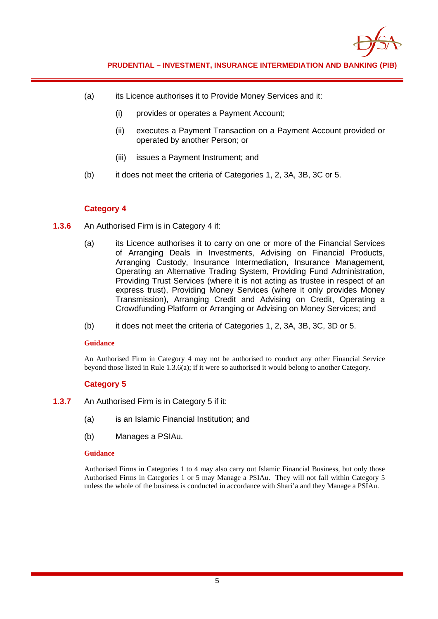

- (a) its Licence authorises it to Provide Money Services and it:
	- (i) provides or operates a Payment Account;
	- (ii) executes a Payment Transaction on a Payment Account provided or operated by another Person; or
	- (iii) issues a Payment Instrument; and
- (b) it does not meet the criteria of Categories 1, 2, 3A, 3B, 3C or 5.

## **Category 4**

- **1.3.6** An Authorised Firm is in Category 4 if:
	- (a) its Licence authorises it to carry on one or more of the Financial Services of Arranging Deals in Investments, Advising on Financial Products, Arranging Custody, Insurance Intermediation, Insurance Management, Operating an Alternative Trading System, Providing Fund Administration, Providing Trust Services (where it is not acting as trustee in respect of an express trust), Providing Money Services (where it only provides Money Transmission), Arranging Credit and Advising on Credit, Operating a Crowdfunding Platform or Arranging or Advising on Money Services; and
	- (b) it does not meet the criteria of Categories 1, 2, 3A, 3B, 3C, 3D or 5.

#### **Guidance**

An Authorised Firm in Category 4 may not be authorised to conduct any other Financial Service beyond those listed in Rule 1.3.6(a); if it were so authorised it would belong to another Category.

## **Category 5**

- **1.3.7** An Authorised Firm is in Category 5 if it:
	- (a) is an Islamic Financial Institution; and
	- (b) Manages a PSIAu.

#### **Guidance**

Authorised Firms in Categories 1 to 4 may also carry out Islamic Financial Business, but only those Authorised Firms in Categories 1 or 5 may Manage a PSIAu. They will not fall within Category 5 unless the whole of the business is conducted in accordance with Shari'a and they Manage a PSIAu.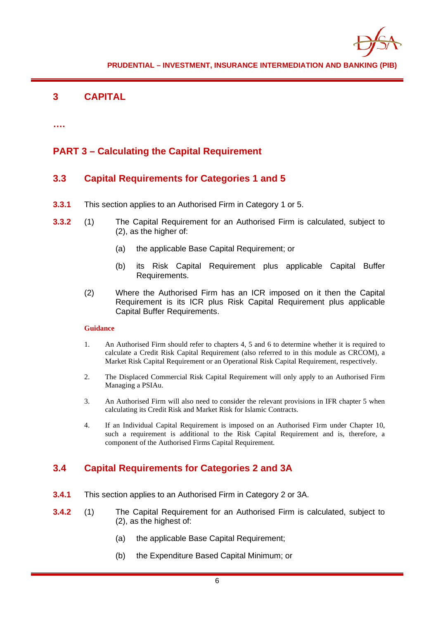

# **3 CAPITAL**

**….**

# **PART 3 – Calculating the Capital Requirement**

# **3.3 Capital Requirements for Categories 1 and 5**

- **3.3.1** This section applies to an Authorised Firm in Category 1 or 5.
- **3.3.2** (1) The Capital Requirement for an Authorised Firm is calculated, subject to (2), as the higher of:
	- (a) the applicable Base Capital Requirement; or
	- (b) its Risk Capital Requirement plus applicable Capital Buffer Requirements.
	- (2) Where the Authorised Firm has an ICR imposed on it then the Capital Requirement is its ICR plus Risk Capital Requirement plus applicable Capital Buffer Requirements.

#### **Guidance**

- 1. An Authorised Firm should refer to chapters 4, 5 and 6 to determine whether it is required to calculate a Credit Risk Capital Requirement (also referred to in this module as CRCOM), a Market Risk Capital Requirement or an Operational Risk Capital Requirement, respectively.
- 2. The Displaced Commercial Risk Capital Requirement will only apply to an Authorised Firm Managing a PSIAu.
- 3. An Authorised Firm will also need to consider the relevant provisions in IFR chapter 5 when calculating its Credit Risk and Market Risk for Islamic Contracts.
- 4. If an Individual Capital Requirement is imposed on an Authorised Firm under Chapter 10, such a requirement is additional to the Risk Capital Requirement and is, therefore, a component of the Authorised Firms Capital Requirement.

# **3.4 Capital Requirements for Categories 2 and 3A**

- **3.4.1** This section applies to an Authorised Firm in Category 2 or 3A.
- **3.4.2** (1) The Capital Requirement for an Authorised Firm is calculated, subject to (2), as the highest of:
	- (a) the applicable Base Capital Requirement;
	- (b) the Expenditure Based Capital Minimum; or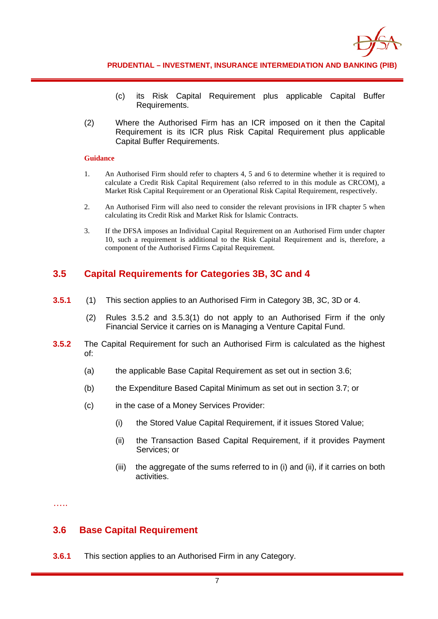

- (c) its Risk Capital Requirement plus applicable Capital Buffer Requirements.
- (2) Where the Authorised Firm has an ICR imposed on it then the Capital Requirement is its ICR plus Risk Capital Requirement plus applicable Capital Buffer Requirements.

- 1. An Authorised Firm should refer to chapters 4, 5 and 6 to determine whether it is required to calculate a Credit Risk Capital Requirement (also referred to in this module as CRCOM), a Market Risk Capital Requirement or an Operational Risk Capital Requirement, respectively.
- 2. An Authorised Firm will also need to consider the relevant provisions in IFR chapter 5 when calculating its Credit Risk and Market Risk for Islamic Contracts.
- 3. If the DFSA imposes an Individual Capital Requirement on an Authorised Firm under chapter 10, such a requirement is additional to the Risk Capital Requirement and is, therefore, a component of the Authorised Firms Capital Requirement.

## **3.5 Capital Requirements for Categories 3B, 3C and 4**

- **3.5.1** (1) This section applies to an Authorised Firm in Category 3B, 3C, 3D or 4.
	- (2) Rules 3.5.2 and 3.5.3(1) do not apply to an Authorised Firm if the only Financial Service it carries on is Managing a Venture Capital Fund.
- **3.5.2** The Capital Requirement for such an Authorised Firm is calculated as the highest of:
	- (a) the applicable Base Capital Requirement as set out in section 3.6;
	- (b) the Expenditure Based Capital Minimum as set out in section 3.7; or
	- (c) in the case of a Money Services Provider:
		- (i) the Stored Value Capital Requirement, if it issues Stored Value;
		- (ii) the Transaction Based Capital Requirement, if it provides Payment Services; or
		- (iii) the aggregate of the sums referred to in (i) and (ii), if it carries on both activities.

…..

## **3.6 Base Capital Requirement**

**3.6.1** This section applies to an Authorised Firm in any Category.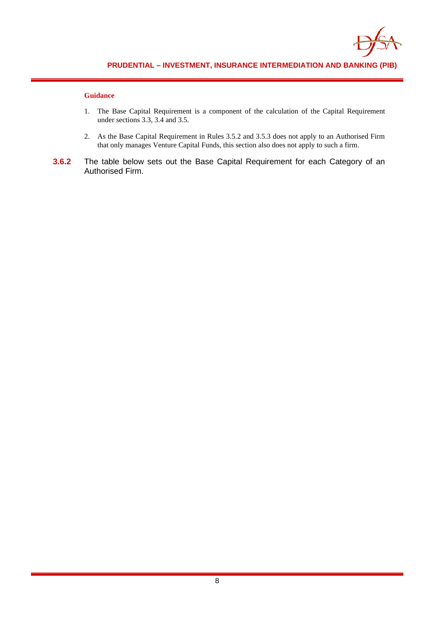

- 1. The Base Capital Requirement is a component of the calculation of the Capital Requirement under sections 3.3, 3.4 and 3.5.
- 2. As the Base Capital Requirement in Rules 3.5.2 and 3.5.3 does not apply to an Authorised Firm that only manages Venture Capital Funds, this section also does not apply to such a firm.
- **3.6.2** The table below sets out the Base Capital Requirement for each Category of an Authorised Firm.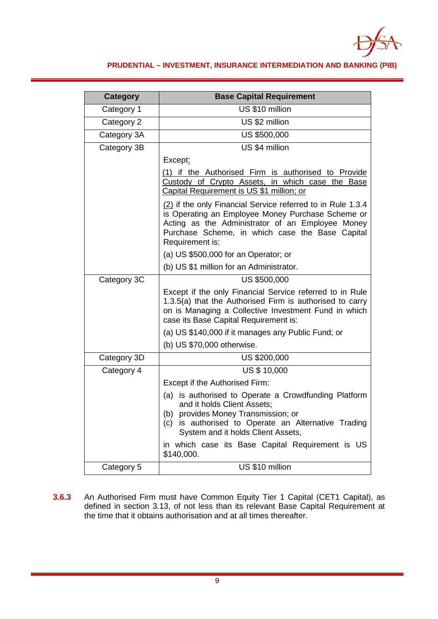

## **PRUDENTIAL – INVESTMENT, INSURANCE INTERMEDIATION AND BANKING (PIB)**

| <b>Category</b> | <b>Base Capital Requirement</b>                                                                                                                                                                                                            |  |  |  |  |  |
|-----------------|--------------------------------------------------------------------------------------------------------------------------------------------------------------------------------------------------------------------------------------------|--|--|--|--|--|
| Category 1      | US \$10 million                                                                                                                                                                                                                            |  |  |  |  |  |
| Category 2      | US \$2 million                                                                                                                                                                                                                             |  |  |  |  |  |
| Category 3A     | <b>US \$500,000</b>                                                                                                                                                                                                                        |  |  |  |  |  |
| Category 3B     | US \$4 million                                                                                                                                                                                                                             |  |  |  |  |  |
|                 | Except:                                                                                                                                                                                                                                    |  |  |  |  |  |
|                 | (1) if the Authorised Firm is authorised to Provide<br>Custody of Crypto Assets, in which case the Base<br>Capital Requirement is US \$1 million; or                                                                                       |  |  |  |  |  |
|                 | (2) if the only Financial Service referred to in Rule 1.3.4<br>is Operating an Employee Money Purchase Scheme or<br>Acting as the Administrator of an Employee Money<br>Purchase Scheme, in which case the Base Capital<br>Requirement is: |  |  |  |  |  |
|                 | (a) US \$500,000 for an Operator; or                                                                                                                                                                                                       |  |  |  |  |  |
|                 | (b) US \$1 million for an Administrator.                                                                                                                                                                                                   |  |  |  |  |  |
| Category 3C     | US \$500,000                                                                                                                                                                                                                               |  |  |  |  |  |
|                 | Except if the only Financial Service referred to in Rule<br>1.3.5(a) that the Authorised Firm is authorised to carry<br>on is Managing a Collective Investment Fund in which<br>case its Base Capital Requirement is:                      |  |  |  |  |  |
|                 | (a) US \$140,000 if it manages any Public Fund; or                                                                                                                                                                                         |  |  |  |  |  |
|                 | (b) US \$70,000 otherwise.                                                                                                                                                                                                                 |  |  |  |  |  |
| Category 3D     | US \$200,000                                                                                                                                                                                                                               |  |  |  |  |  |
| Category 4      | <b>US \$ 10,000</b>                                                                                                                                                                                                                        |  |  |  |  |  |
|                 | Except if the Authorised Firm:                                                                                                                                                                                                             |  |  |  |  |  |
|                 | (a) is authorised to Operate a Crowdfunding Platform<br>and it holds Client Assets;<br>provides Money Transmission; or<br>(b)<br>(c) is authorised to Operate an Alternative Trading<br>System and it holds Client Assets,                 |  |  |  |  |  |
|                 | in which case its Base Capital Requirement is US<br>\$140,000.                                                                                                                                                                             |  |  |  |  |  |
| Category 5      | US \$10 million                                                                                                                                                                                                                            |  |  |  |  |  |

**3.6.3** An Authorised Firm must have Common Equity Tier 1 Capital (CET1 Capital), as defined in section 3.13, of not less than its relevant Base Capital Requirement at the time that it obtains authorisation and at all times thereafter.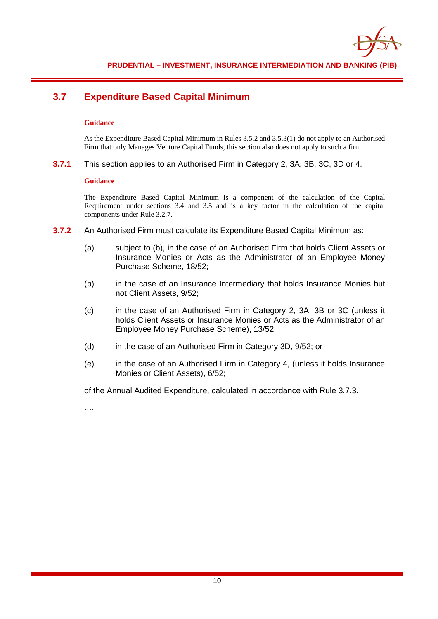

# **3.7 Expenditure Based Capital Minimum**

#### **Guidance**

As the Expenditure Based Capital Minimum in Rules 3.5.2 and 3.5.3(1) do not apply to an Authorised Firm that only Manages Venture Capital Funds, this section also does not apply to such a firm.

**3.7.1** This section applies to an Authorised Firm in Category 2, 3A, 3B, 3C, 3D or 4.

#### **Guidance**

The Expenditure Based Capital Minimum is a component of the calculation of the Capital Requirement under sections 3.4 and 3.5 and is a key factor in the calculation of the capital components under Rule 3.2.7.

- **3.7.2** An Authorised Firm must calculate its Expenditure Based Capital Minimum as:
	- (a) subject to (b), in the case of an Authorised Firm that holds Client Assets or Insurance Monies or Acts as the Administrator of an Employee Money Purchase Scheme, 18/52;
	- (b) in the case of an Insurance Intermediary that holds Insurance Monies but not Client Assets, 9/52;
	- (c) in the case of an Authorised Firm in Category 2, 3A, 3B or 3C (unless it holds Client Assets or Insurance Monies or Acts as the Administrator of an Employee Money Purchase Scheme), 13/52;
	- (d) in the case of an Authorised Firm in Category 3D, 9/52; or
	- (e) in the case of an Authorised Firm in Category 4, (unless it holds Insurance Monies or Client Assets), 6/52;

of the Annual Audited Expenditure, calculated in accordance with Rule 3.7.3.

….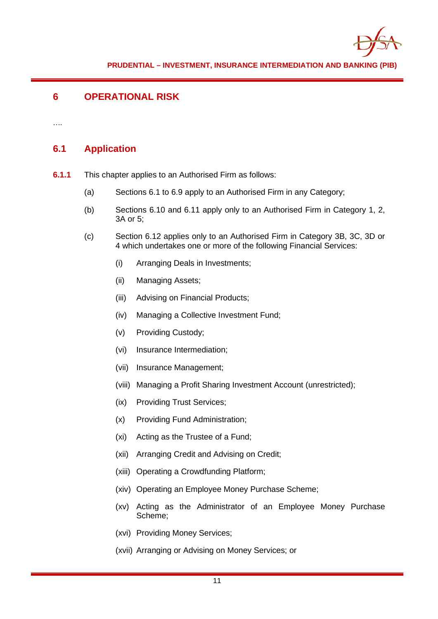

# **6 OPERATIONAL RISK**

….

# **6.1 Application**

- **6.1.1** This chapter applies to an Authorised Firm as follows:
	- (a) Sections 6.1 to 6.9 apply to an Authorised Firm in any Category;
	- (b) Sections 6.10 and 6.11 apply only to an Authorised Firm in Category 1, 2, 3A or 5;
	- (c) Section 6.12 applies only to an Authorised Firm in Category 3B, 3C, 3D or 4 which undertakes one or more of the following Financial Services:
		- (i) Arranging Deals in Investments;
		- (ii) Managing Assets;
		- (iii) Advising on Financial Products;
		- (iv) Managing a Collective Investment Fund;
		- (v) Providing Custody;
		- (vi) Insurance Intermediation;
		- (vii) Insurance Management;
		- (viii) Managing a Profit Sharing Investment Account (unrestricted);
		- (ix) Providing Trust Services;
		- (x) Providing Fund Administration;
		- (xi) Acting as the Trustee of a Fund;
		- (xii) Arranging Credit and Advising on Credit;
		- (xiii) Operating a Crowdfunding Platform;
		- (xiv) Operating an Employee Money Purchase Scheme;
		- (xv) Acting as the Administrator of an Employee Money Purchase Scheme;
		- (xvi) Providing Money Services;
		- (xvii) Arranging or Advising on Money Services; or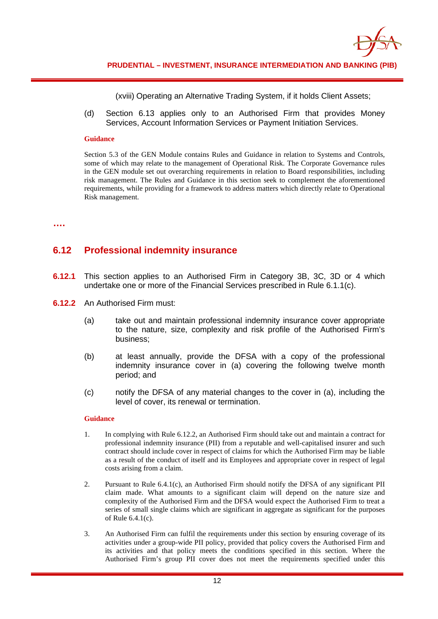

(xviii) Operating an Alternative Trading System, if it holds Client Assets;

(d) Section 6.13 applies only to an Authorised Firm that provides Money Services, Account Information Services or Payment Initiation Services.

#### **Guidance**

Section 5.3 of the GEN Module contains Rules and Guidance in relation to Systems and Controls, some of which may relate to the management of Operational Risk. The Corporate Governance rules in the GEN module set out overarching requirements in relation to Board responsibilities, including risk management. The Rules and Guidance in this section seek to complement the aforementioned requirements, while providing for a framework to address matters which directly relate to Operational Risk management.

**….**

# **6.12 Professional indemnity insurance**

- **6.12.1** This section applies to an Authorised Firm in Category 3B, 3C, 3D or 4 which undertake one or more of the Financial Services prescribed in Rule 6.1.1(c).
- **6.12.2** An Authorised Firm must:
	- (a) take out and maintain professional indemnity insurance cover appropriate to the nature, size, complexity and risk profile of the Authorised Firm's business;
	- (b) at least annually, provide the DFSA with a copy of the professional indemnity insurance cover in (a) covering the following twelve month period; and
	- (c) notify the DFSA of any material changes to the cover in (a), including the level of cover, its renewal or termination.

#### **Guidance**

- 1. In complying with Rule 6.12.2, an Authorised Firm should take out and maintain a contract for professional indemnity insurance (PII) from a reputable and well-capitalised insurer and such contract should include cover in respect of claims for which the Authorised Firm may be liable as a result of the conduct of itself and its Employees and appropriate cover in respect of legal costs arising from a claim.
- 2. Pursuant to Rule 6.4.1(c), an Authorised Firm should notify the DFSA of any significant PII claim made. What amounts to a significant claim will depend on the nature size and complexity of the Authorised Firm and the DFSA would expect the Authorised Firm to treat a series of small single claims which are significant in aggregate as significant for the purposes of Rule 6.4.1(c).
- 3. An Authorised Firm can fulfil the requirements under this section by ensuring coverage of its activities under a group-wide PII policy, provided that policy covers the Authorised Firm and its activities and that policy meets the conditions specified in this section. Where the Authorised Firm's group PII cover does not meet the requirements specified under this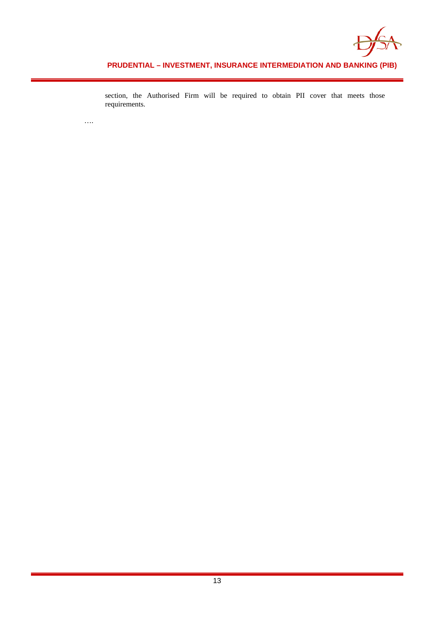

**PRUDENTIAL – INVESTMENT, INSURANCE INTERMEDIATION AND BANKING (PIB)**

section, the Authorised Firm will be required to obtain PII cover that meets those requirements.

….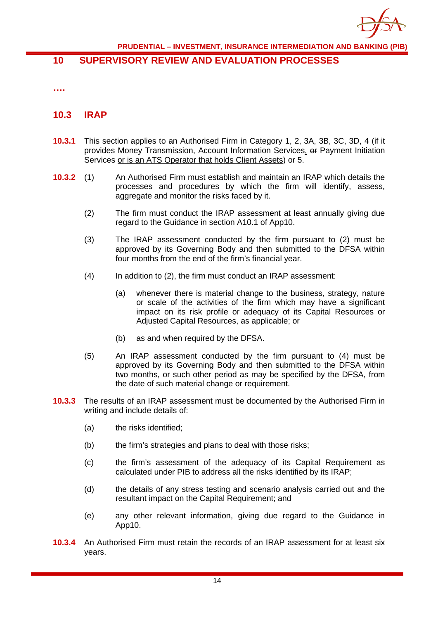

## **10 SUPERVISORY REVIEW AND EVALUATION PROCESSES**

**….**

## **10.3 IRAP**

- **10.3.1** This section applies to an Authorised Firm in Category 1, 2, 3A, 3B, 3C, 3D, 4 (if it provides Money Transmission, Account Information Services, or Payment Initiation Services or is an ATS Operator that holds Client Assets) or 5.
- **10.3.2** (1) An Authorised Firm must establish and maintain an IRAP which details the processes and procedures by which the firm will identify, assess, aggregate and monitor the risks faced by it.
	- (2) The firm must conduct the IRAP assessment at least annually giving due regard to the Guidance in section A10.1 of App10.
	- (3) The IRAP assessment conducted by the firm pursuant to (2) must be approved by its Governing Body and then submitted to the DFSA within four months from the end of the firm's financial year.
	- (4) In addition to (2), the firm must conduct an IRAP assessment:
		- (a) whenever there is material change to the business, strategy, nature or scale of the activities of the firm which may have a significant impact on its risk profile or adequacy of its Capital Resources or Adjusted Capital Resources, as applicable; or
		- (b) as and when required by the DFSA.
	- (5) An IRAP assessment conducted by the firm pursuant to (4) must be approved by its Governing Body and then submitted to the DFSA within two months, or such other period as may be specified by the DFSA, from the date of such material change or requirement.
- **10.3.3** The results of an IRAP assessment must be documented by the Authorised Firm in writing and include details of:
	- (a) the risks identified;
	- (b) the firm's strategies and plans to deal with those risks;
	- (c) the firm's assessment of the adequacy of its Capital Requirement as calculated under PIB to address all the risks identified by its IRAP;
	- (d) the details of any stress testing and scenario analysis carried out and the resultant impact on the Capital Requirement; and
	- (e) any other relevant information, giving due regard to the Guidance in App10.
- **10.3.4** An Authorised Firm must retain the records of an IRAP assessment for at least six years.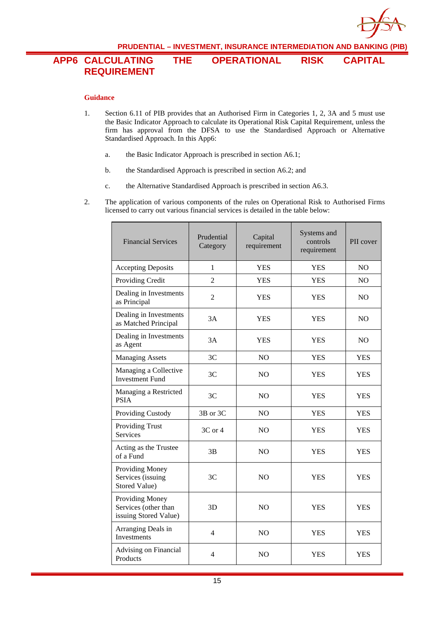

# **APP6 CALCULATING THE OPERATIONAL RISK CAPITAL REQUIREMENT**

#### **Guidance**

- 1. Section 6.11 of PIB provides that an Authorised Firm in Categories 1, 2, 3A and 5 must use the Basic Indicator Approach to calculate its Operational Risk Capital Requirement, unless the firm has approval from the DFSA to use the Standardised Approach or Alternative Standardised Approach. In this App6:
	- a. the Basic Indicator Approach is prescribed in section A6.1;
	- b. the Standardised Approach is prescribed in section A6.2; and
	- c. the Alternative Standardised Approach is prescribed in section A6.3.
- 2. The application of various components of the rules on Operational Risk to Authorised Firms licensed to carry out various financial services is detailed in the table below:

| <b>Financial Services</b>                                        | Prudential<br>Category | Capital<br>requirement | Systems and<br>controls<br>requirement | PII cover      |
|------------------------------------------------------------------|------------------------|------------------------|----------------------------------------|----------------|
| <b>Accepting Deposits</b>                                        | $\mathbf{1}$           | <b>YES</b>             | <b>YES</b>                             | NO             |
| Providing Credit                                                 | $\overline{2}$         | <b>YES</b>             | <b>YES</b>                             | N <sub>O</sub> |
| Dealing in Investments<br>as Principal                           | $\overline{2}$         | <b>YES</b>             | <b>YES</b>                             | N <sub>O</sub> |
| Dealing in Investments<br>as Matched Principal                   | 3A                     | <b>YES</b>             | YES                                    | NO             |
| Dealing in Investments<br>as Agent                               | 3A                     | <b>YES</b>             | <b>YES</b>                             | NO.            |
| <b>Managing Assets</b>                                           | 3C                     | NO                     | <b>YES</b>                             | <b>YES</b>     |
| Managing a Collective<br><b>Investment Fund</b>                  | 3C                     | N <sub>O</sub>         | <b>YES</b>                             | <b>YES</b>     |
| Managing a Restricted<br><b>PSIA</b>                             | 3C                     | N <sub>O</sub>         | <b>YES</b>                             | <b>YES</b>     |
| Providing Custody                                                | 3B or 3C               | N <sub>O</sub>         | <b>YES</b>                             | <b>YES</b>     |
| <b>Providing Trust</b><br><b>Services</b>                        | 3C or 4                | N <sub>O</sub>         | YES                                    | <b>YES</b>     |
| Acting as the Trustee<br>of a Fund                               | 3B                     | N <sub>O</sub>         | <b>YES</b>                             | <b>YES</b>     |
| <b>Providing Money</b><br>Services (issuing<br>Stored Value)     | 3C                     | N <sub>O</sub>         | <b>YES</b>                             | <b>YES</b>     |
| Providing Money<br>Services (other than<br>issuing Stored Value) | 3D                     | N <sub>O</sub>         | <b>YES</b>                             | <b>YES</b>     |
| Arranging Deals in<br>Investments                                | $\overline{4}$         | NO                     | <b>YES</b>                             | <b>YES</b>     |
| <b>Advising on Financial</b><br>Products                         | 4                      | N <sub>O</sub>         | <b>YES</b>                             | <b>YES</b>     |